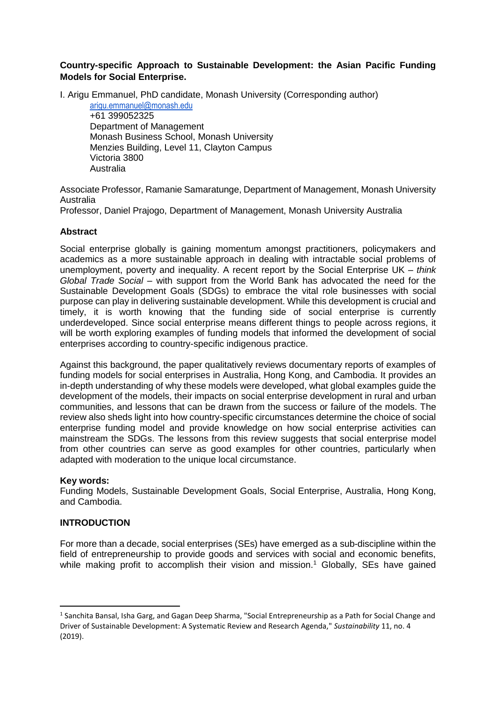## **Country-specific Approach to Sustainable Development: the Asian Pacific Funding Models for Social Enterprise.**

I. Arigu Emmanuel, PhD candidate, Monash University (Corresponding author)

[arigu.emmanuel@monash.edu](mailto:arigu.emmanuel@monash.edu) +61 399052325 Department of Management Monash Business School, Monash University Menzies Building, Level 11, Clayton Campus Victoria 3800 Australia

Associate Professor, Ramanie Samaratunge, Department of Management, Monash University Australia

Professor, Daniel Prajogo, Department of Management, Monash University Australia

## **Abstract**

Social enterprise globally is gaining momentum amongst practitioners, policymakers and academics as a more sustainable approach in dealing with intractable social problems of unemployment, poverty and inequality. A recent report by the Social Enterprise UK – *think Global Trade Social* – with support from the World Bank has advocated the need for the Sustainable Development Goals (SDGs) to embrace the vital role businesses with social purpose can play in delivering sustainable development. While this development is crucial and timely, it is worth knowing that the funding side of social enterprise is currently underdeveloped. Since social enterprise means different things to people across regions, it will be worth exploring examples of funding models that informed the development of social enterprises according to country-specific indigenous practice.

Against this background, the paper qualitatively reviews documentary reports of examples of funding models for social enterprises in Australia, Hong Kong, and Cambodia. It provides an in-depth understanding of why these models were developed, what global examples guide the development of the models, their impacts on social enterprise development in rural and urban communities, and lessons that can be drawn from the success or failure of the models. The review also sheds light into how country-specific circumstances determine the choice of social enterprise funding model and provide knowledge on how social enterprise activities can mainstream the SDGs. The lessons from this review suggests that social enterprise model from other countries can serve as good examples for other countries, particularly when adapted with moderation to the unique local circumstance.

## **Key words:**

**.** 

Funding Models, Sustainable Development Goals, Social Enterprise, Australia, Hong Kong, and Cambodia.

## **INTRODUCTION**

For more than a decade, social enterprises (SEs) have emerged as a sub-discipline within the field of entrepreneurship to provide goods and services with social and economic benefits, while making profit to accomplish their vision and mission.<sup>1</sup> Globally, SEs have gained

<sup>&</sup>lt;sup>1</sup> Sanchita Bansal, Isha Garg, and Gagan Deep Sharma, "Social Entrepreneurship as a Path for Social Change and Driver of Sustainable Development: A Systematic Review and Research Agenda," *Sustainability* 11, no. 4 (2019).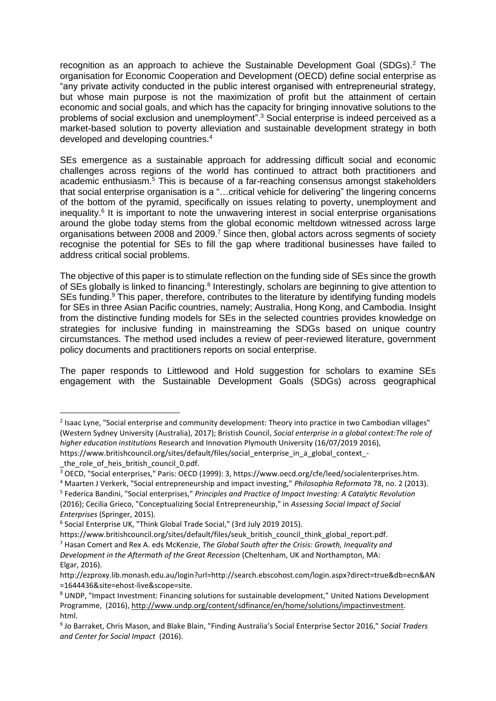recognition as an approach to achieve the Sustainable Development Goal (SDGs). $^2$  The organisation for Economic Cooperation and Development (OECD) define social enterprise as "any private activity conducted in the public interest organised with entrepreneurial strategy, but whose main purpose is not the maximization of profit but the attainment of certain economic and social goals, and which has the capacity for bringing innovative solutions to the problems of social exclusion and unemployment".<sup>3</sup> Social enterprise is indeed perceived as a market-based solution to poverty alleviation and sustainable development strategy in both developed and developing countries. 4

SEs emergence as a sustainable approach for addressing difficult social and economic challenges across regions of the world has continued to attract both practitioners and academic enthusiasm. <sup>5</sup> This is because of a far-reaching consensus amongst stakeholders that social enterprise organisation is a "…critical vehicle for delivering" the lingering concerns of the bottom of the pyramid, specifically on issues relating to poverty, unemployment and inequality.<sup>6</sup> It is important to note the unwavering interest in social enterprise organisations around the globe today stems from the global economic meltdown witnessed across large organisations between 2008 and 2009.<sup>7</sup> Since then, global actors across segments of society recognise the potential for SEs to fill the gap where traditional businesses have failed to address critical social problems.

The objective of this paper is to stimulate reflection on the funding side of SEs since the growth of SEs globally is linked to financing.<sup>8</sup> Interestingly, scholars are beginning to give attention to SEs funding.<sup>9</sup> This paper, therefore, contributes to the literature by identifying funding models for SEs in three Asian Pacific countries, namely; Australia, Hong Kong, and Cambodia. Insight from the distinctive funding models for SEs in the selected countries provides knowledge on strategies for inclusive funding in mainstreaming the SDGs based on unique country circumstances. The method used includes a review of peer-reviewed literature, government policy documents and practitioners reports on social enterprise.

The paper responds to Littlewood and Hold suggestion for scholars to examine SEs engagement with the Sustainable Development Goals (SDGs) across geographical

*Enterprises* (Springer, 2015).

1

<sup>&</sup>lt;sup>2</sup> Isaac Lyne, "Social enterprise and community development: Theory into practice in two Cambodian villages" (Western Sydney University (Australia), 2017); Bristish Council, *Social enterprise in a global context:The role of higher education institutions* Research and Innovation Plymouth University (16/07/2019 2016),

https://www.britishcouncil.org/sites/default/files/social\_enterprise\_in\_a\_global\_context\_-

\_the\_role\_of\_heis\_british\_council\_0.pdf.

<sup>3</sup> OECD, "Social enterprises," Paris: OECD (1999): 3, https://www.oecd.org/cfe/leed/socialenterprises.htm.

<sup>4</sup> Maarten J Verkerk, "Social entrepreneurship and impact investing," *Philosophia Reformata* 78, no. 2 (2013). 5 Federica Bandini, "Social enterprises," *Principles and Practice of Impact Investing: A Catalytic Revolution* (2016); Cecilia Grieco, "Conceptualizing Social Entrepreneurship," in *Assessing Social Impact of Social* 

<sup>6</sup> Social Enterprise UK, "Think Global Trade Social," (3rd July 2019 2015).

https://www.britishcouncil.org/sites/default/files/seuk\_british\_council\_think\_global\_report.pdf.

<sup>7</sup> Hasan Comert and Rex A. eds McKenzie, *The Global South after the Crisis: Growth, Inequality and* 

*Development in the Aftermath of the Great Recession* (Cheltenham, UK and Northampton, MA: Elgar, 2016).

http://ezproxy.lib.monash.edu.au/login?url=http://search.ebscohost.com/login.aspx?direct=true&db=ecn&AN =1644436&site=ehost-live&scope=site.

<sup>8</sup> UNDP, "Impact Investment: Financing solutions for sustainable development," United Nations Development Programme, (2016), http://www.undp.org/content/sdfinance/en/home/solutions/impactinvestment. html.

<sup>9</sup> Jo Barraket, Chris Mason, and Blake Blain, "Finding Australia's Social Enterprise Sector 2016," *Social Traders and Center for Social Impact* (2016).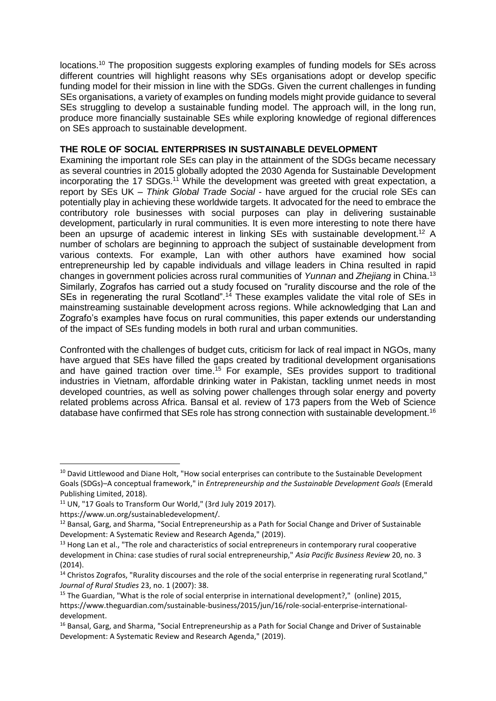locations.<sup>10</sup> The proposition suggests exploring examples of funding models for SEs across different countries will highlight reasons why SEs organisations adopt or develop specific funding model for their mission in line with the SDGs. Given the current challenges in funding SEs organisations, a variety of examples on funding models might provide guidance to several SEs struggling to develop a sustainable funding model. The approach will, in the long run, produce more financially sustainable SEs while exploring knowledge of regional differences on SEs approach to sustainable development.

#### **THE ROLE OF SOCIAL ENTERPRISES IN SUSTAINABLE DEVELOPMENT**

Examining the important role SEs can play in the attainment of the SDGs became necessary as several countries in 2015 globally adopted the 2030 Agenda for Sustainable Development incorporating the 17 SDGs.<sup>11</sup> While the development was greeted with great expectation, a report by SEs UK – *Think Global Trade Social* - have argued for the crucial role SEs can potentially play in achieving these worldwide targets. It advocated for the need to embrace the contributory role businesses with social purposes can play in delivering sustainable development, particularly in rural communities. It is even more interesting to note there have been an upsurge of academic interest in linking  $SEs$  with sustainable development.<sup>12</sup> A number of scholars are beginning to approach the subject of sustainable development from various contexts. For example, Lan with other authors have examined how social entrepreneurship led by capable individuals and village leaders in China resulted in rapid changes in government policies across rural communities of *Yunnan* and *Zhejiang* in China.<sup>13</sup> Similarly, Zografos has carried out a study focused on "rurality discourse and the role of the SEs in regenerating the rural Scotland".<sup>14</sup> These examples validate the vital role of SEs in mainstreaming sustainable development across regions. While acknowledging that Lan and Zografo's examples have focus on rural communities, this paper extends our understanding of the impact of SEs funding models in both rural and urban communities.

Confronted with the challenges of budget cuts, criticism for lack of real impact in NGOs, many have argued that SEs have filled the gaps created by traditional development organisations and have gained traction over time.<sup>15</sup> For example, SEs provides support to traditional industries in Vietnam, affordable drinking water in Pakistan, tackling unmet needs in most developed countries, as well as solving power challenges through solar energy and poverty related problems across Africa. Bansal et al. review of 173 papers from the Web of Science database have confirmed that SEs role has strong connection with sustainable development.<sup>16</sup>

1

<sup>&</sup>lt;sup>10</sup> David Littlewood and Diane Holt, "How social enterprises can contribute to the Sustainable Development Goals (SDGs)–A conceptual framework," in *Entrepreneurship and the Sustainable Development Goals* (Emerald Publishing Limited, 2018).

<sup>&</sup>lt;sup>11</sup> UN, "17 Goals to Transform Our World," (3rd July 2019 2017).

https://www.un.org/sustainabledevelopment/.

<sup>&</sup>lt;sup>12</sup> Bansal, Garg, and Sharma, "Social Entrepreneurship as a Path for Social Change and Driver of Sustainable Development: A Systematic Review and Research Agenda," (2019).

<sup>&</sup>lt;sup>13</sup> Hong Lan et al., "The role and characteristics of social entrepreneurs in contemporary rural cooperative development in China: case studies of rural social entrepreneurship," *Asia Pacific Business Review* 20, no. 3 (2014).

 $14$  Christos Zografos, "Rurality discourses and the role of the social enterprise in regenerating rural Scotland," *Journal of Rural Studies* 23, no. 1 (2007): 38.

<sup>&</sup>lt;sup>15</sup> The Guardian, "What is the role of social enterprise in international development?," (online) 2015, https://www.theguardian.com/sustainable-business/2015/jun/16/role-social-enterprise-internationaldevelopment.

<sup>&</sup>lt;sup>16</sup> Bansal, Garg, and Sharma, "Social Entrepreneurship as a Path for Social Change and Driver of Sustainable Development: A Systematic Review and Research Agenda," (2019).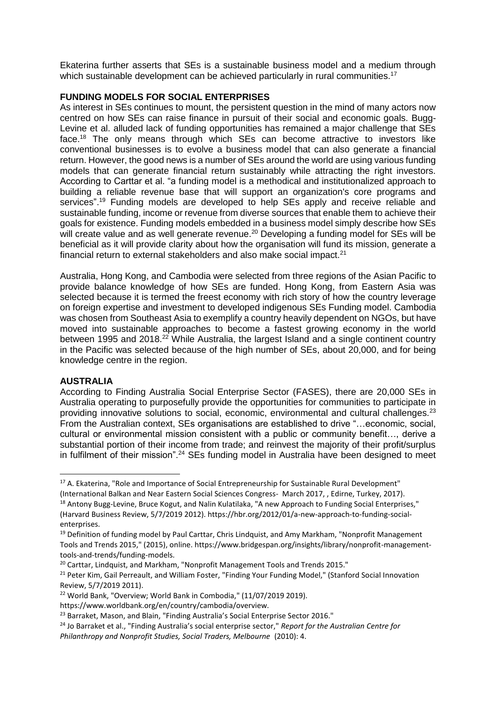Ekaterina further asserts that SEs is a sustainable business model and a medium through which sustainable development can be achieved particularly in rural communities.<sup>17</sup>

#### **FUNDING MODELS FOR SOCIAL ENTERPRISES**

As interest in SEs continues to mount, the persistent question in the mind of many actors now centred on how SEs can raise finance in pursuit of their social and economic goals. Bugg-Levine et al. alluded lack of funding opportunities has remained a major challenge that SEs face.<sup>18</sup> The only means through which SEs can become attractive to investors like conventional businesses is to evolve a business model that can also generate a financial return. However, the good news is a number of SEs around the world are using various funding models that can generate financial return sustainably while attracting the right investors. According to Carttar et al. "a funding model is a methodical and institutionalized approach to building a reliable revenue base that will support an organization's core programs and services".<sup>19</sup> Funding models are developed to help SEs apply and receive reliable and sustainable funding, income or revenue from diverse sources that enable them to achieve their goals for existence. Funding models embedded in a business model simply describe how SEs will create value and as well generate revenue.<sup>20</sup> Developing a funding model for SEs will be beneficial as it will provide clarity about how the organisation will fund its mission, generate a financial return to external stakeholders and also make social impact.<sup>21</sup>

Australia, Hong Kong, and Cambodia were selected from three regions of the Asian Pacific to provide balance knowledge of how SEs are funded. Hong Kong, from Eastern Asia was selected because it is termed the freest economy with rich story of how the country leverage on foreign expertise and investment to developed indigenous SEs Funding model. Cambodia was chosen from Southeast Asia to exemplify a country heavily dependent on NGOs, but have moved into sustainable approaches to become a fastest growing economy in the world between 1995 and 2018.<sup>22</sup> While Australia, the largest Island and a single continent country in the Pacific was selected because of the high number of SEs, about 20,000, and for being knowledge centre in the region.

#### **AUSTRALIA**

 $\overline{a}$ 

According to Finding Australia Social Enterprise Sector (FASES), there are 20,000 SEs in Australia operating to purposefully provide the opportunities for communities to participate in providing innovative solutions to social, economic, environmental and cultural challenges.<sup>23</sup> From the Australian context, SEs organisations are established to drive "…economic, social, cultural or environmental mission consistent with a public or community benefit…, derive a substantial portion of their income from trade; and reinvest the majority of their profit/surplus in fulfilment of their mission".<sup>24</sup> SEs funding model in Australia have been designed to meet

<sup>&</sup>lt;sup>17</sup> A. Ekaterina, "Role and Importance of Social Entrepreneurship for Sustainable Rural Development" (International Balkan and Near Eastern Social Sciences Congress- March 2017, , Edirne, Turkey, 2017).

<sup>&</sup>lt;sup>18</sup> Antony Bugg-Levine, Bruce Kogut, and Nalin Kulatilaka, "A new Approach to Funding Social Enterprises," (Harvard Business Review, 5/7/2019 2012). https://hbr.org/2012/01/a-new-approach-to-funding-socialenterprises.

<sup>&</sup>lt;sup>19</sup> Definition of funding model by Paul Carttar, Chris Lindquist, and Amy Markham, "Nonprofit Management Tools and Trends 2015," (2015), online. https://www.bridgespan.org/insights/library/nonprofit-managementtools-and-trends/funding-models.

<sup>&</sup>lt;sup>20</sup> Carttar, Lindquist, and Markham, "Nonprofit Management Tools and Trends 2015."

<sup>&</sup>lt;sup>21</sup> Peter Kim, Gail Perreault, and William Foster, "Finding Your Funding Model," (Stanford Social Innovation Review, 5/7/2019 2011).

<sup>&</sup>lt;sup>22</sup> World Bank, "Overview; World Bank in Combodia," (11/07/2019 2019).

https://www.worldbank.org/en/country/cambodia/overview.

<sup>&</sup>lt;sup>23</sup> Barraket, Mason, and Blain, "Finding Australia's Social Enterprise Sector 2016."

<sup>24</sup> Jo Barraket et al., "Finding Australia's social enterprise sector," *Report for the Australian Centre for Philanthropy and Nonprofit Studies, Social Traders, Melbourne* (2010): 4.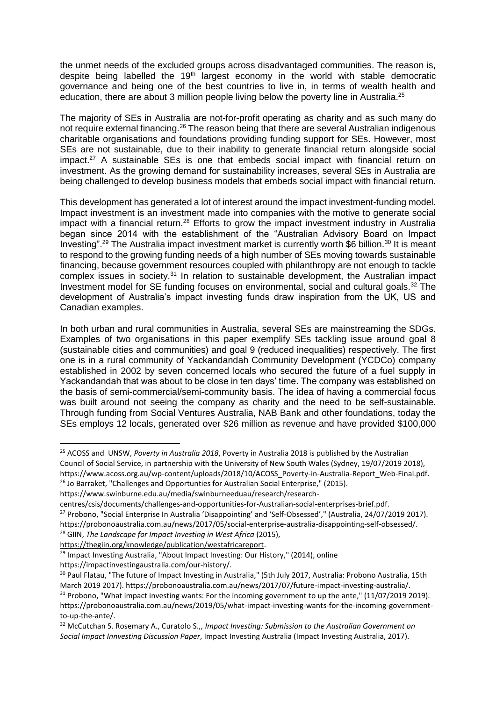the unmet needs of the excluded groups across disadvantaged communities. The reason is, despite being labelled the 19<sup>th</sup> largest economy in the world with stable democratic governance and being one of the best countries to live in, in terms of wealth health and education, there are about 3 million people living below the poverty line in Australia.<sup>25</sup>

The majority of SEs in Australia are not-for-profit operating as charity and as such many do not require external financing.<sup>26</sup> The reason being that there are several Australian indigenous charitable organisations and foundations providing funding support for SEs. However, most SEs are not sustainable, due to their inability to generate financial return alongside social impact.<sup>27</sup> A sustainable SEs is one that embeds social impact with financial return on investment. As the growing demand for sustainability increases, several SEs in Australia are being challenged to develop business models that embeds social impact with financial return.

This development has generated a lot of interest around the impact investment-funding model. Impact investment is an investment made into companies with the motive to generate social impact with a financial return.<sup>28</sup> Efforts to grow the impact investment industry in Australia began since 2014 with the establishment of the "Australian Advisory Board on Impact Investing".<sup>29</sup> The Australia impact investment market is currently worth \$6 billion.<sup>30</sup> It is meant to respond to the growing funding needs of a high number of SEs moving towards sustainable financing, because government resources coupled with philanthropy are not enough to tackle complex issues in society.<sup>31</sup> In relation to sustainable development, the Australian impact Investment model for SE funding focuses on environmental, social and cultural goals.<sup>32</sup> The development of Australia's impact investing funds draw inspiration from the UK, US and Canadian examples.

In both urban and rural communities in Australia, several SEs are mainstreaming the SDGs. Examples of two organisations in this paper exemplify SEs tackling issue around goal 8 (sustainable cities and communities) and goal 9 (reduced inequalities) respectively. The first one is in a rural community of Yackandandah Community Development (YCDCo) company established in 2002 by seven concerned locals who secured the future of a fuel supply in Yackandandah that was about to be close in ten days' time. The company was established on the basis of semi-commercial/semi-community basis. The idea of having a commercial focus was built around not seeing the company as charity and the need to be self-sustainable. Through funding from Social Ventures Australia, NAB Bank and other foundations, today the SEs employs 12 locals, generated over \$26 million as revenue and have provided \$100,000

```
https://www.swinburne.edu.au/media/swinburneeduau/research/research-
```

```
centres/csis/documents/challenges-and-opportunities-for-Australian-social-enterprises-brief.pdf.
```

```
<sup>27</sup> Probono, "Social Enterprise In Australia 'Disappointing' and 'Self-Obsessed'," (Australia, 24/07/2019 2017).
```
<sup>28</sup> GIIN, *The Landscape for Impact Investing in West Africa* (2015),

https://thegiin.org/knowledge/publication/westafricareport.

**<sup>.</sup>** <sup>25</sup> ACOSS and UNSW, *Poverty in Australia 2018*, Poverty in Australia 2018 is published by the Australian Council of Social Service, in partnership with the University of New South Wales (Sydney, 19/07/2019 2018), https://www.acoss.org.au/wp-content/uploads/2018/10/ACOSS\_Poverty-in-Australia-Report\_Web-Final.pdf.  $26$  Jo Barraket, "Challenges and Opportunties for Australian Social Enterprise," (2015).

https://probonoaustralia.com.au/news/2017/05/social-enterprise-australia-disappointing-self-obsessed/.

<sup>&</sup>lt;sup>29</sup> Impact Investing Australia, "About Impact Investing: Our History," (2014), online https://impactinvestingaustralia.com/our-history/.

<sup>&</sup>lt;sup>30</sup> Paul Flatau, "The future of Impact Investing in Australia," (5th July 2017, Australia: Probono Australia, 15th March 2019 2017). https://probonoaustralia.com.au/news/2017/07/future-impact-investing-australia/.  $31$  Probono, "What impact investing wants: For the incoming government to up the ante," (11/07/2019 2019). https://probonoaustralia.com.au/news/2019/05/what-impact-investing-wants-for-the-incoming-governmentto-up-the-ante/.

<sup>32</sup> McCutchan S. Rosemary A., Curatolo S.,, *Impact Investing: Submission to the Australian Government on Social Impact Innvesting Discussion Paper*, Impact Investing Australia (Impact Investing Australia, 2017).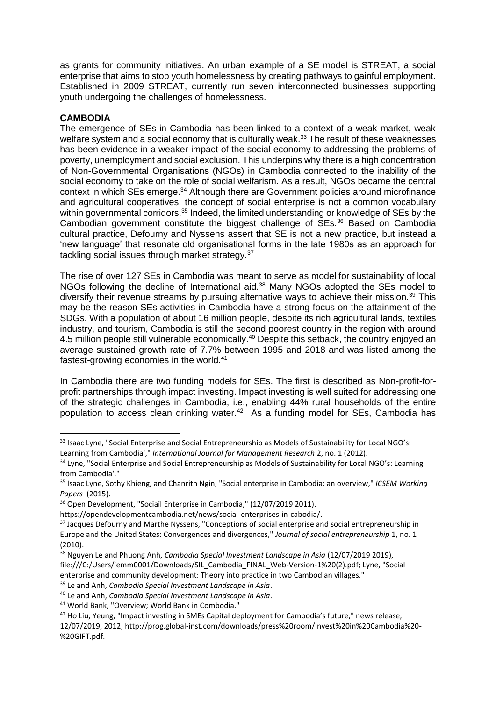as grants for community initiatives. An urban example of a SE model is STREAT, a social enterprise that aims to stop youth homelessness by creating pathways to gainful employment. Established in 2009 STREAT, currently run seven interconnected businesses supporting youth undergoing the challenges of homelessness.

## **CAMBODIA**

1

The emergence of SEs in Cambodia has been linked to a context of a weak market, weak welfare system and a social economy that is culturally weak.<sup>33</sup> The result of these weaknesses has been evidence in a weaker impact of the social economy to addressing the problems of poverty, unemployment and social exclusion. This underpins why there is a high concentration of Non-Governmental Organisations (NGOs) in Cambodia connected to the inability of the social economy to take on the role of social welfarism. As a result, NGOs became the central context in which SEs emerge.<sup>34</sup> Although there are Government policies around microfinance and agricultural cooperatives, the concept of social enterprise is not a common vocabulary within governmental corridors.<sup>35</sup> Indeed, the limited understanding or knowledge of SEs by the Cambodian government constitute the biggest challenge of SEs.<sup>36</sup> Based on Cambodia cultural practice, Defourny and Nyssens assert that SE is not a new practice, but instead a 'new language' that resonate old organisational forms in the late 1980s as an approach for tackling social issues through market strategy.<sup>37</sup>

The rise of over 127 SEs in Cambodia was meant to serve as model for sustainability of local NGOs following the decline of International aid.<sup>38</sup> Many NGOs adopted the SEs model to diversify their revenue streams by pursuing alternative ways to achieve their mission.<sup>39</sup> This may be the reason SEs activities in Cambodia have a strong focus on the attainment of the SDGs. With a population of about 16 million people, despite its rich agricultural lands, textiles industry, and tourism, Cambodia is still the second poorest country in the region with around 4.5 million people still vulnerable economically.<sup>40</sup> Despite this setback, the country enjoyed an average sustained growth rate of 7.7% between 1995 and 2018 and was listed among the fastest-growing economies in the world.<sup>41</sup>

In Cambodia there are two funding models for SEs. The first is described as Non-profit-forprofit partnerships through impact investing. Impact investing is well suited for addressing one of the strategic challenges in Cambodia, i.e., enabling 44% rural households of the entire population to access clean drinking water.<sup>42</sup> As a funding model for SEs, Cambodia has

<sup>&</sup>lt;sup>33</sup> Isaac Lyne, "Social Enterprise and Social Entrepreneurship as Models of Sustainability for Local NGO's: Learning from Cambodia'," *International Journal for Management Research* 2, no. 1 (2012).

<sup>&</sup>lt;sup>34</sup> Lyne, "Social Enterprise and Social Entrepreneurship as Models of Sustainability for Local NGO's: Learning from Cambodia'."

<sup>35</sup> Isaac Lyne, Sothy Khieng, and Chanrith Ngin, "Social enterprise in Cambodia: an overview," *ICSEM Working Papers* (2015).

<sup>36</sup> Open Development, "Sociail Enterprise in Cambodia," (12/07/2019 2011).

https://opendevelopmentcambodia.net/news/social-enterprises-in-cabodia/.

<sup>&</sup>lt;sup>37</sup> Jacques Defourny and Marthe Nyssens, "Conceptions of social enterprise and social entrepreneurship in Europe and the United States: Convergences and divergences," *Journal of social entrepreneurship* 1, no. 1 (2010).

<sup>38</sup> Nguyen Le and Phuong Anh, *Cambodia Special Investment Landscape in Asia* (12/07/2019 2019), file:///C:/Users/iemm0001/Downloads/SIL\_Cambodia\_FINAL\_Web-Version-1%20(2).pdf; Lyne, "Social enterprise and community development: Theory into practice in two Cambodian villages."

<sup>39</sup> Le and Anh, *Cambodia Special Investment Landscape in Asia*.

<sup>40</sup> Le and Anh, *Cambodia Special Investment Landscape in Asia*.

<sup>41</sup> World Bank, "Overview; World Bank in Combodia."

<sup>42</sup> Ho Liu, Yeung, "Impact investing in SMEs Capital deployment for Cambodia's future," news release,

<sup>12/07/2019, 2012,</sup> http://prog.global-inst.com/downloads/press%20room/Invest%20in%20Cambodia%20- %20GIFT.pdf.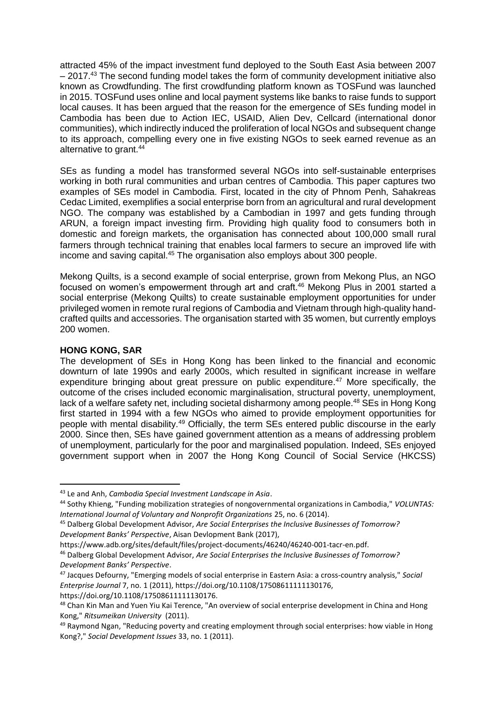attracted 45% of the impact investment fund deployed to the South East Asia between 2007  $-2017<sup>43</sup>$  The second funding model takes the form of community development initiative also known as Crowdfunding. The first crowdfunding platform known as TOSFund was launched in 2015. TOSFund uses online and local payment systems like banks to raise funds to support local causes. It has been argued that the reason for the emergence of SEs funding model in Cambodia has been due to Action IEC, USAID, Alien Dev, Cellcard (international donor communities), which indirectly induced the proliferation of local NGOs and subsequent change to its approach, compelling every one in five existing NGOs to seek earned revenue as an alternative to grant.<sup>44</sup>

SEs as funding a model has transformed several NGOs into self-sustainable enterprises working in both rural communities and urban centres of Cambodia. This paper captures two examples of SEs model in Cambodia. First, located in the city of Phnom Penh, Sahakreas Cedac Limited, exemplifies a social enterprise born from an agricultural and rural development NGO. The company was established by a Cambodian in 1997 and gets funding through ARUN, a foreign impact investing firm. Providing high quality food to consumers both in domestic and foreign markets, the organisation has connected about 100,000 small rural farmers through technical training that enables local farmers to secure an improved life with income and saving capital. <sup>45</sup> The organisation also employs about 300 people.

Mekong Quilts, is a second example of social enterprise, grown from Mekong Plus, an NGO focused on women's empowerment through art and craft.<sup>46</sup> Mekong Plus in 2001 started a social enterprise (Mekong Quilts) to create sustainable employment opportunities for under privileged women in remote rural regions of Cambodia and Vietnam through high-quality handcrafted quilts and accessories. The organisation started with 35 women, but currently employs 200 women.

#### **HONG KONG, SAR**

1

The development of SEs in Hong Kong has been linked to the financial and economic downturn of late 1990s and early 2000s, which resulted in significant increase in welfare expenditure bringing about great pressure on public expenditure.<sup>47</sup> More specifically, the outcome of the crises included economic marginalisation, structural poverty, unemployment, lack of a welfare safety net, including societal disharmony among people.<sup>48</sup> SEs in Hong Kong first started in 1994 with a few NGOs who aimed to provide employment opportunities for people with mental disability.<sup>49</sup> Officially, the term SEs entered public discourse in the early 2000. Since then, SEs have gained government attention as a means of addressing problem of unemployment, particularly for the poor and marginalised population. Indeed, SEs enjoyed government support when in 2007 the Hong Kong Council of Social Service (HKCSS)

https://www.adb.org/sites/default/files/project-documents/46240/46240-001-tacr-en.pdf.

<sup>43</sup> Le and Anh, *Cambodia Special Investment Landscape in Asia*.

<sup>44</sup> Sothy Khieng, "Funding mobilization strategies of nongovernmental organizations in Cambodia," *VOLUNTAS: International Journal of Voluntary and Nonprofit Organizations* 25, no. 6 (2014).

<sup>45</sup> Dalberg Global Development Advisor, *Are Social Enterprises the Inclusive Businesses of Tomorrow? Development Banks' Perspective*, Aisan Devlopment Bank (2017),

<sup>46</sup> Dalberg Global Development Advisor, *Are Social Enterprises the Inclusive Businesses of Tomorrow? Development Banks' Perspective*.

<sup>47</sup> Jacques Defourny, "Emerging models of social enterprise in Eastern Asia: a cross‐country analysis," *Social Enterprise Journal* 7, no. 1 (2011), https://doi.org/10.1108/17508611111130176, https://doi.org/10.1108/17508611111130176.

<sup>48</sup> Chan Kin Man and Yuen Yiu Kai Terence, "An overview of social enterprise development in China and Hong Kong," *Ritsumeikan University* (2011).

<sup>&</sup>lt;sup>49</sup> Raymond Ngan, "Reducing poverty and creating employment through social enterprises: how viable in Hong Kong?," *Social Development Issues* 33, no. 1 (2011).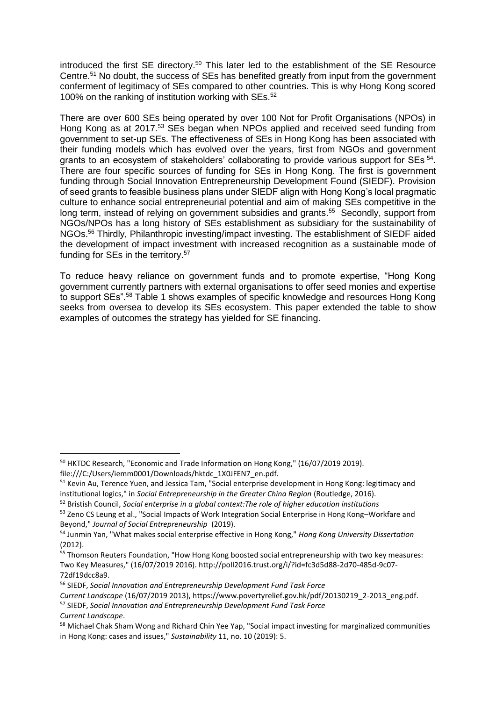introduced the first SE directory.<sup>50</sup> This later led to the establishment of the SE Resource Centre.<sup>51</sup> No doubt, the success of SEs has benefited greatly from input from the government conferment of legitimacy of SEs compared to other countries. This is why Hong Kong scored 100% on the ranking of institution working with SEs.<sup>52</sup>

There are over 600 SEs being operated by over 100 Not for Profit Organisations (NPOs) in Hong Kong as at 2017.<sup>53</sup> SEs began when NPOs applied and received seed funding from government to set-up SEs. The effectiveness of SEs in Hong Kong has been associated with their funding models which has evolved over the years, first from NGOs and government grants to an ecosystem of stakeholders' collaborating to provide various support for SEs<sup>54</sup>. There are four specific sources of funding for SEs in Hong Kong. The first is government funding through Social Innovation Entrepreneurship Development Found (SIEDF). Provision of seed grants to feasible business plans under SIEDF align with Hong Kong's local pragmatic culture to enhance social entrepreneurial potential and aim of making SEs competitive in the long term, instead of relying on government subsidies and grants.<sup>55</sup> Secondly, support from NGOs/NPOs has a long history of SEs establishment as subsidiary for the sustainability of NGOs.<sup>56</sup> Thirdly, Philanthropic investing/impact investing. The establishment of SIEDF aided the development of impact investment with increased recognition as a sustainable mode of funding for SEs in the territory.<sup>57</sup>

To reduce heavy reliance on government funds and to promote expertise, "Hong Kong government currently partners with external organisations to offer seed monies and expertise to support SEs".<sup>58</sup> Table 1 shows examples of specific knowledge and resources Hong Kong seeks from oversea to develop its SEs ecosystem. This paper extended the table to show examples of outcomes the strategy has yielded for SE financing.

file:///C:/Users/iemm0001/Downloads/hktdc\_1X0JFEN7\_en.pdf.

 $\overline{a}$ 

<sup>57</sup> SIEDF, *Social Innovation and Entrepreneurship Development Fund Task Force Current Landscape*.

<sup>&</sup>lt;sup>50</sup> HKTDC Research, "Economic and Trade Information on Hong Kong," (16/07/2019 2019).

<sup>&</sup>lt;sup>51</sup> Kevin Au, Terence Yuen, and Jessica Tam, "Social enterprise development in Hong Kong: legitimacy and institutional logics," in *Social Entrepreneurship in the Greater China Region* (Routledge, 2016).

<sup>52</sup> Bristish Council, *Social enterprise in a global context:The role of higher education institutions* 

<sup>53</sup> Zeno CS Leung et al., "Social Impacts of Work Integration Social Enterprise in Hong Kong–Workfare and Beyond," *Journal of Social Entrepreneurship* (2019).

<sup>54</sup> Junmin Yan, "What makes social enterprise effective in Hong Kong," *Hong Kong University Dissertation* (2012).

<sup>&</sup>lt;sup>55</sup> Thomson Reuters Foundation, "How Hong Kong boosted social entrepreneurship with two key measures: Two Key Measures," (16/07/2019 2016). http://poll2016.trust.org/i/?id=fc3d5d88-2d70-485d-9c07- 72df19dcc8a9.

<sup>56</sup> SIEDF, *Social Innovation and Entrepreneurship Development Fund Task Force*

*Current Landscape* (16/07/2019 2013), https://www.povertyrelief.gov.hk/pdf/20130219\_2-2013\_eng.pdf.

<sup>&</sup>lt;sup>58</sup> Michael Chak Sham Wong and Richard Chin Yee Yap, "Social impact investing for marginalized communities in Hong Kong: cases and issues," *Sustainability* 11, no. 10 (2019): 5.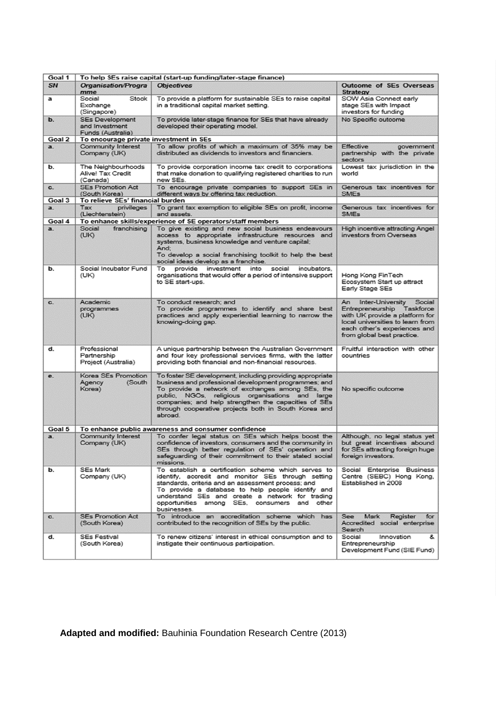| Goal 1         | To help SEs raise capital (start-up funding/later-stage finance) |                                                                                                                                                                                                                                                                                                                                                      |                                                                                                                                                                                                       |  |  |  |  |  |  |  |
|----------------|------------------------------------------------------------------|------------------------------------------------------------------------------------------------------------------------------------------------------------------------------------------------------------------------------------------------------------------------------------------------------------------------------------------------------|-------------------------------------------------------------------------------------------------------------------------------------------------------------------------------------------------------|--|--|--|--|--|--|--|
| <b>SN</b>      | Organisation/Progra<br>mme                                       | <b>Objectives</b>                                                                                                                                                                                                                                                                                                                                    | <b>Outcome of SEs Overseas</b><br><b>Strategy</b>                                                                                                                                                     |  |  |  |  |  |  |  |
| a              | Social<br>Stock<br>Exchange<br>(Singapore)                       | To provide a platform for sustainable SEs to raise capital<br>in a traditional capital market setting.                                                                                                                                                                                                                                               | SOW Asia Connect early<br>stage SEs with Impact<br>investors for funding                                                                                                                              |  |  |  |  |  |  |  |
| b.             | <b>SEs Development</b><br>and Investment<br>Funds (Australia)    | To provide later-stage finance for SEs that have already<br>developed their operating model.                                                                                                                                                                                                                                                         | No Specific outcome                                                                                                                                                                                   |  |  |  |  |  |  |  |
| Goal 2         | To encourage private investment in SEs                           |                                                                                                                                                                                                                                                                                                                                                      |                                                                                                                                                                                                       |  |  |  |  |  |  |  |
| a.             | Community Interest<br>Company (UK)                               | To allow profits of which a maximum of 35% may be<br>distributed as dividends to investors and financiers.                                                                                                                                                                                                                                           | <b>Effective</b><br>government<br>partnership with the private<br>sectors                                                                                                                             |  |  |  |  |  |  |  |
| b.             | The Neighbourhoods<br>Alive! Tax Credit<br>(Canada)              | To provide corporation income tax credit to corporations<br>that make donation to qualifying registered charities to run<br>new SEs.                                                                                                                                                                                                                 | Lowest tax jurisdiction in the<br>world                                                                                                                                                               |  |  |  |  |  |  |  |
| $\mathbf{c}$ . | <b>SEs Promotion Act</b><br>(South Korea)                        | Generous tax incentives for<br><b>SMEs</b>                                                                                                                                                                                                                                                                                                           |                                                                                                                                                                                                       |  |  |  |  |  |  |  |
| Goal 3         | To relieve SEs' financial burden                                 |                                                                                                                                                                                                                                                                                                                                                      |                                                                                                                                                                                                       |  |  |  |  |  |  |  |
| a.             | Tax<br>privileges<br>(Liechtenstein)                             | To grant tax exemption to eligible SEs on profit, income<br>and assets.                                                                                                                                                                                                                                                                              | Generous tax incentives for<br><b>SMEs</b>                                                                                                                                                            |  |  |  |  |  |  |  |
| Goal 4         |                                                                  | To enhance skills/experience of SE operators/staff members                                                                                                                                                                                                                                                                                           |                                                                                                                                                                                                       |  |  |  |  |  |  |  |
| a.             | Social<br>franchising<br>(UK)                                    | To give existing and new social business endeavours<br>access to appropriate infrastructure resources and<br>systems, business knowledge and venture capital;<br>And:<br>To develop a social franchising toolkit to help the best<br>social ideas develop as a franchise.                                                                            | High incentive attracting Angel<br>investors from Overseas                                                                                                                                            |  |  |  |  |  |  |  |
| ь.             | Social Incubator Fund<br>(UK)                                    | To provide investment into<br>social<br>incubators.<br>organisations that would offer a period of intensive support<br>to SE start-ups.                                                                                                                                                                                                              | Hong Kong FinTech<br>Ecosystem Start up attract<br>Early Stage SEs                                                                                                                                    |  |  |  |  |  |  |  |
| $C_{-}$        | Academic<br>programmes<br>(UK)                                   | To conduct research; and<br>To provide programmes to identify and share best<br>practices and apply experiential learning to narrow the<br>knowing-doing gap.                                                                                                                                                                                        | An<br>Inter-University<br>Social<br>Entrepreneurship<br>Taskforce<br>with UK provide a platform for<br>local universities to learn from<br>each other's experiences and<br>from global best practice. |  |  |  |  |  |  |  |
| d.             | Professional<br>Partnership<br>Project (Australia)               | A unique partnership between the Australian Government<br>and four key professional services firms, with the latter<br>providing both financial and non-financial resources.                                                                                                                                                                         | Fruitful interaction with other<br>countries                                                                                                                                                          |  |  |  |  |  |  |  |
| е.             | Korea SEs Promotion<br>Agency<br>(South)<br>Korea)               | To foster SE development, including providing appropriate<br>business and professional development programmes; and<br>To provide a network of exchanges among SEs, the<br>public, NGOs, religious organisations and large<br>companies; and help strengthen the capacities of SEs<br>through cooperative projects both in South Korea and<br>sbroad. | No specific outcome                                                                                                                                                                                   |  |  |  |  |  |  |  |
| Goal 5         | To enhance public awareness and consumer confidence              |                                                                                                                                                                                                                                                                                                                                                      |                                                                                                                                                                                                       |  |  |  |  |  |  |  |
| a.             | Community Interest<br>Company (UK)                               | To confer legal status on SEs which helps boost the<br>confidence of investors, consumers and the community in<br>SEs through better regulation of SEs' operation and<br>safeguarding of their commitment to their stated social<br>missions.                                                                                                        | Although, no legal status yet<br>but great incentives abound<br>for SEs attracting foreign huge<br>foreign investors.                                                                                 |  |  |  |  |  |  |  |
| b.             | SEs Mark<br>Company (UK)                                         | To establish a certification scheme which serves to<br>identify, accredit and monitor SEs through setting<br>standards, criteria and an assessment process; and<br>To provide a database to help people identify and<br>understand SEs and create a network for trading<br>opportunities among SEs, consumers and other<br>businesses.               | Social Enterprise Business<br>Centre (SEBC) Hong Kong,<br>Established in 2008                                                                                                                         |  |  |  |  |  |  |  |
| $\mathbf{c}$ . | <b>SEs Promotion Act</b><br>(South Korea)                        | To introduce an accreditation scheme which has<br>contributed to the recognition of SEs by the public.                                                                                                                                                                                                                                               | See<br>Mark<br>Register<br>for<br>Accredited social enterprise<br>Search                                                                                                                              |  |  |  |  |  |  |  |
| d.             | <b>SEs Festival</b><br>(South Korea)                             | To renew citizens' interest in ethical consumption and to<br>instigate their continuous participation.                                                                                                                                                                                                                                               | Social<br>Innovation<br>&<br>Entrepreneurship<br>Development Fund (SIE Fund)                                                                                                                          |  |  |  |  |  |  |  |

**Adapted and modified:** Bauhinia Foundation Research Centre (2013)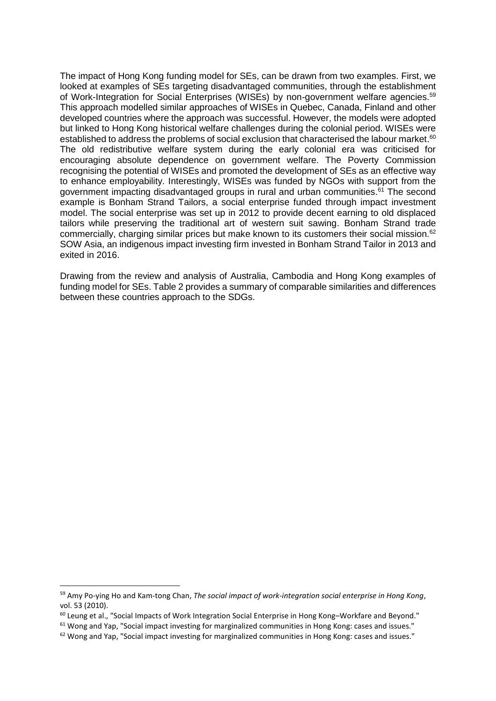The impact of Hong Kong funding model for SEs, can be drawn from two examples. First, we looked at examples of SEs targeting disadvantaged communities, through the establishment of Work-Integration for Social Enterprises (WISEs) by non-government welfare agencies.<sup>59</sup> This approach modelled similar approaches of WISEs in Quebec, Canada, Finland and other developed countries where the approach was successful. However, the models were adopted but linked to Hong Kong historical welfare challenges during the colonial period. WISEs were established to address the problems of social exclusion that characterised the labour market.<sup>60</sup> The old redistributive welfare system during the early colonial era was criticised for encouraging absolute dependence on government welfare. The Poverty Commission recognising the potential of WISEs and promoted the development of SEs as an effective way to enhance employability. Interestingly, WISEs was funded by NGOs with support from the government impacting disadvantaged groups in rural and urban communities.<sup>61</sup> The second example is Bonham Strand Tailors, a social enterprise funded through impact investment model. The social enterprise was set up in 2012 to provide decent earning to old displaced tailors while preserving the traditional art of western suit sawing. Bonham Strand trade commercially, charging similar prices but make known to its customers their social mission.<sup>62</sup> SOW Asia, an indigenous impact investing firm invested in Bonham Strand Tailor in 2013 and exited in 2016.

Drawing from the review and analysis of Australia, Cambodia and Hong Kong examples of funding model for SEs. Table 2 provides a summary of comparable similarities and differences between these countries approach to the SDGs.

**.** 

<sup>59</sup> Amy Po-ying Ho and Kam-tong Chan, *The social impact of work-integration social enterprise in Hong Kong*, vol. 53 (2010).

<sup>60</sup> Leung et al., "Social Impacts of Work Integration Social Enterprise in Hong Kong–Workfare and Beyond."

<sup>&</sup>lt;sup>61</sup> Wong and Yap, "Social impact investing for marginalized communities in Hong Kong: cases and issues."

 $62$  Wong and Yap, "Social impact investing for marginalized communities in Hong Kong: cases and issues."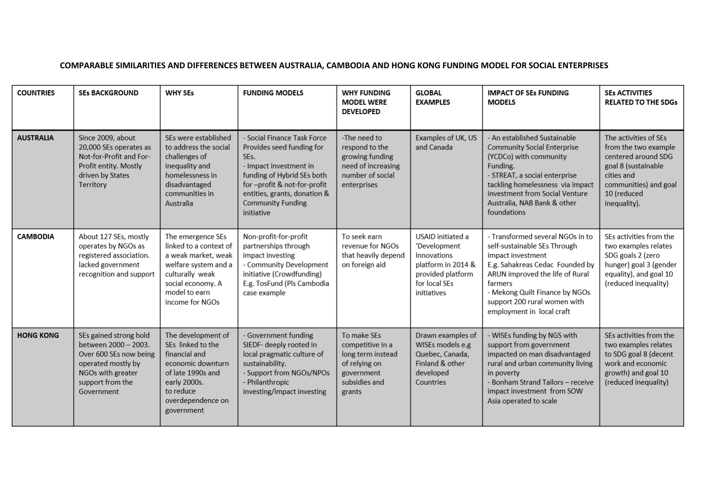## **COMPARABLE SIMILARITIES AND DIFFERENCES BETWEEN AUSTRALIA, CAMBODIA AND HONG KONG FUNDING MODEL FOR SOCIAL ENTERPRISES**

| <b>COUNTRIES</b> | <b>SEs BACKGROUND</b>                                                                                                                                 | <b>WHY SEs</b>                                                                                                                                                         | <b>FUNDING MODELS</b>                                                                                                                                                                                                             | <b>WHY FUNDING</b><br><b>MODEL WERE</b><br><b>DEVELOPED</b>                                                    | <b>GLOBAL</b><br><b>EXAMPLES</b>                                                                                            | <b>IMPACT OF SEs FUNDING</b><br><b>MODELS</b>                                                                                                                                                                                                                         | <b>SEs ACTIVITIES</b><br><b>RELATED TO THE SDGs</b>                                                                                                               |
|------------------|-------------------------------------------------------------------------------------------------------------------------------------------------------|------------------------------------------------------------------------------------------------------------------------------------------------------------------------|-----------------------------------------------------------------------------------------------------------------------------------------------------------------------------------------------------------------------------------|----------------------------------------------------------------------------------------------------------------|-----------------------------------------------------------------------------------------------------------------------------|-----------------------------------------------------------------------------------------------------------------------------------------------------------------------------------------------------------------------------------------------------------------------|-------------------------------------------------------------------------------------------------------------------------------------------------------------------|
| <b>AUSTRALIA</b> | Since 2009, about<br>20,000 SEs operates as<br>Not-for-Profit and For-<br>Profit entity. Mostly<br>driven by States<br>Territory                      | SEs were established<br>to address the social<br>challenges of<br>inequality and<br>homelessness in<br>disadvantaged<br>communities in<br>Australia                    | - Social Finance Task Force<br>Provides seed funding for<br>SEs.<br>- Impact investment in<br>funding of Hybrid SEs both<br>for-profit & not-for-profit<br>entities, grants, donation &<br><b>Community Funding</b><br>initiative | -The need to<br>respond to the<br>growing funding<br>need of increasing<br>number of social<br>enterprises     | Examples of UK, US<br>and Canada                                                                                            | - An established Sustainable<br><b>Community Social Enterprise</b><br>(YCDCo) with community<br>Funding.<br>- STREAT, a social enterprise<br>tackling homelessness via impact<br>investment from Social Venture<br>Australia, NAB Bank & other<br>foundations         | The activities of SEs<br>from the two example<br>centered around SDG<br>goal 8 (sustainable<br>cities and<br>communities) and goal<br>10 (reduced<br>inequality). |
| <b>CAMBODIA</b>  | About 127 SEs, mostly<br>operates by NGOs as<br>registered association.<br>lacked government<br>recognition and support                               | The emergence SEs<br>linked to a context of<br>a weak market, weak<br>welfare system and a<br>culturally weak<br>social economy. A<br>model to earn<br>income for NGOs | Non-profit-for-profit<br>partnerships through<br>impact investing<br>- Community Development<br>initiative (Crowdfunding)<br>E.g. TosFund (Pls Cambodia<br>case example                                                           | To seek earn<br>revenue for NGOs<br>that heavily depend<br>on foreign aid                                      | USAID initiated a<br>'Development<br>Innovations<br>platform in 2014 &<br>provided platform<br>for local SEs<br>initiatives | - Transformed several NGOs in to<br>self-sustainable SEs Through<br>impact investment<br>E.g. Sahakreas Cedac Founded by<br>ARUN improved the life of Rural<br>farmers<br>- Mekong Quilt Finance by NGOs<br>support 200 rural women with<br>employment in local craft | SEs activities from the<br>two examples relates<br>SDG goals 2 (zero<br>hunger) goal 3 (gender<br>equality), and goal 10<br>(reduced inequality)                  |
| <b>HONG KONG</b> | SEs gained strong hold<br>between 2000 - 2003.<br>Over 600 SEs now being<br>operated mostly by<br>NGOs with greater<br>support from the<br>Government | The development of<br>SEs linked to the<br>financial and<br>economic downturn<br>of late 1990s and<br>early 2000s.<br>to reduce<br>overdependence on<br>government     | - Government funding<br>SIEDF- deeply rooted in<br>local pragmatic culture of<br>sustainability.<br>- Support from NGOs/NPOs<br>- Philanthropic<br>investing/impact investing                                                     | To make SEs<br>competitive in a<br>long term instead<br>of relying on<br>government<br>subsidies and<br>grants | Drawn examples of<br>WISEs models e.g<br>Quebec, Canada,<br>Finland & other<br>developed<br>Countries                       | - WISEs funding by NGS with<br>support from government<br>impacted on man disadvantaged<br>rural and urban community living<br>in poverty<br>- Bonham Strand Tailors - receive<br>impact investment from SOW<br>Asia operated to scale                                | SEs activities from the<br>two examples relates<br>to SDG goal 8 (decent<br>work and economic<br>growth) and goal 10<br>(reduced inequality)                      |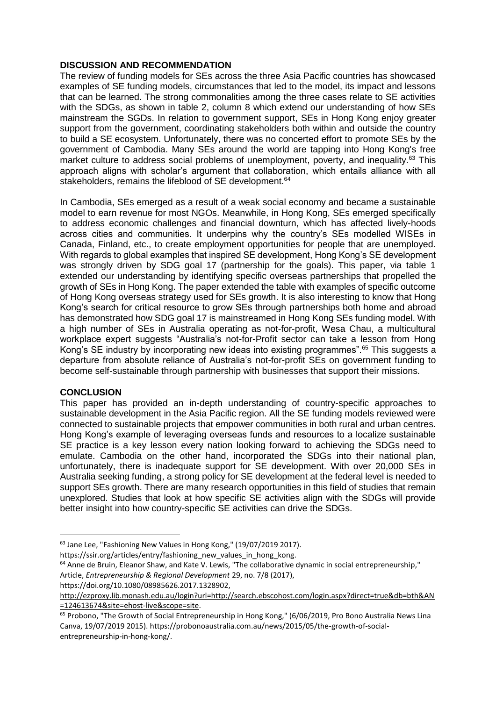## **DISCUSSION AND RECOMMENDATION**

The review of funding models for SEs across the three Asia Pacific countries has showcased examples of SE funding models, circumstances that led to the model, its impact and lessons that can be learned. The strong commonalities among the three cases relate to SE activities with the SDGs, as shown in table 2, column 8 which extend our understanding of how SEs mainstream the SGDs. In relation to government support, SEs in Hong Kong enjoy greater support from the government, coordinating stakeholders both within and outside the country to build a SE ecosystem. Unfortunately, there was no concerted effort to promote SEs by the government of Cambodia. Many SEs around the world are tapping into Hong Kong's free market culture to address social problems of unemployment, poverty, and inequality.<sup>63</sup> This approach aligns with scholar's argument that collaboration, which entails alliance with all stakeholders, remains the lifeblood of SE development.<sup>64</sup>

In Cambodia, SEs emerged as a result of a weak social economy and became a sustainable model to earn revenue for most NGOs. Meanwhile, in Hong Kong, SEs emerged specifically to address economic challenges and financial downturn, which has affected lively-hoods across cities and communities. It underpins why the country's SEs modelled WISEs in Canada, Finland, etc., to create employment opportunities for people that are unemployed. With regards to global examples that inspired SE development, Hong Kong's SE development was strongly driven by SDG goal 17 (partnership for the goals). This paper, via table 1 extended our understanding by identifying specific overseas partnerships that propelled the growth of SEs in Hong Kong. The paper extended the table with examples of specific outcome of Hong Kong overseas strategy used for SEs growth. It is also interesting to know that Hong Kong's search for critical resource to grow SEs through partnerships both home and abroad has demonstrated how SDG goal 17 is mainstreamed in Hong Kong SEs funding model. With a high number of SEs in Australia operating as not-for-profit, Wesa Chau, a multicultural workplace expert suggests "Australia's not-for-Profit sector can take a lesson from Hong Kong's SE industry by incorporating new ideas into existing programmes".<sup>65</sup> This suggests a departure from absolute reliance of Australia's not-for-profit SEs on government funding to become self-sustainable through partnership with businesses that support their missions.

# **CONCLUSION**

1

This paper has provided an in-depth understanding of country-specific approaches to sustainable development in the Asia Pacific region. All the SE funding models reviewed were connected to sustainable projects that empower communities in both rural and urban centres. Hong Kong's example of leveraging overseas funds and resources to a localize sustainable SE practice is a key lesson every nation looking forward to achieving the SDGs need to emulate. Cambodia on the other hand, incorporated the SDGs into their national plan, unfortunately, there is inadequate support for SE development. With over 20,000 SEs in Australia seeking funding, a strong policy for SE development at the federal level is needed to support SEs growth. There are many research opportunities in this field of studies that remain unexplored. Studies that look at how specific SE activities align with the SDGs will provide better insight into how country-specific SE activities can drive the SDGs.

https://doi.org/10.1080/08985626.2017.1328902,

<sup>63</sup> Jane Lee, "Fashioning New Values in Hong Kong," (19/07/2019 2017).

https://ssir.org/articles/entry/fashioning\_new\_values\_in\_hong\_kong.

<sup>64</sup> Anne de Bruin, Eleanor Shaw, and Kate V. Lewis, "The collaborative dynamic in social entrepreneurship," Article, *Entrepreneurship & Regional Development* 29, no. 7/8 (2017),

http://ezproxy.lib.monash.edu.au/login?url=http://search.ebscohost.com/login.aspx?direct=true&db=bth&AN =124613674&site=ehost-live&scope=site.

 $\overline{65}$  Probono, "The Growth of Social Entrepreneurship in Hong Kong," (6/06/2019, Pro Bono Australia News Lina Canva, 19/07/2019 2015). https://probonoaustralia.com.au/news/2015/05/the-growth-of-socialentrepreneurship-in-hong-kong/.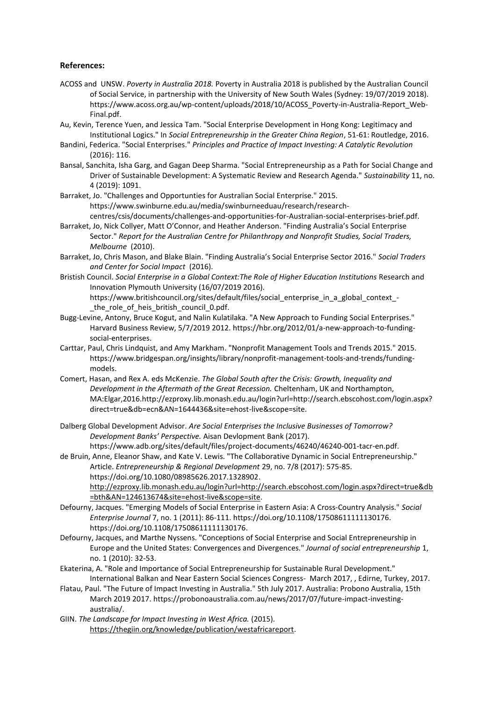#### **References:**

- ACOSS and UNSW. *Poverty in Australia 2018.* Poverty in Australia 2018 is published by the Australian Council of Social Service, in partnership with the University of New South Wales (Sydney: 19/07/2019 2018). https://www.acoss.org.au/wp-content/uploads/2018/10/ACOSS\_Poverty-in-Australia-Report\_Web-Final.pdf.
- Au, Kevin, Terence Yuen, and Jessica Tam. "Social Enterprise Development in Hong Kong: Legitimacy and Institutional Logics." In *Social Entrepreneurship in the Greater China Region*, 51-61: Routledge, 2016.
- Bandini, Federica. "Social Enterprises." *Principles and Practice of Impact Investing: A Catalytic Revolution*  (2016): 116.
- Bansal, Sanchita, Isha Garg, and Gagan Deep Sharma. "Social Entrepreneurship as a Path for Social Change and Driver of Sustainable Development: A Systematic Review and Research Agenda." *Sustainability* 11, no. 4 (2019): 1091.
- Barraket, Jo. "Challenges and Opportunties for Australian Social Enterprise." 2015. https://www.swinburne.edu.au/media/swinburneeduau/research/researchcentres/csis/documents/challenges-and-opportunities-for-Australian-social-enterprises-brief.pdf.
- Barraket, Jo, Nick Collyer, Matt O'Connor, and Heather Anderson. "Finding Australia's Social Enterprise Sector." *Report for the Australian Centre for Philanthropy and Nonprofit Studies, Social Traders, Melbourne* (2010).
- Barraket, Jo, Chris Mason, and Blake Blain. "Finding Australia's Social Enterprise Sector 2016." *Social Traders and Center for Social Impact* (2016).
- Bristish Council. *Social Enterprise in a Global Context:The Role of Higher Education Institutions* Research and Innovation Plymouth University (16/07/2019 2016).

https://www.britishcouncil.org/sites/default/files/social\_enterprise\_in\_a\_global\_context\_ the role of heis british council 0.pdf.

- Bugg-Levine, Antony, Bruce Kogut, and Nalin Kulatilaka. "A New Approach to Funding Social Enterprises." Harvard Business Review, 5/7/2019 2012. https://hbr.org/2012/01/a-new-approach-to-fundingsocial-enterprises.
- Carttar, Paul, Chris Lindquist, and Amy Markham. "Nonprofit Management Tools and Trends 2015." 2015. https://www.bridgespan.org/insights/library/nonprofit-management-tools-and-trends/fundingmodels.
- Comert, Hasan, and Rex A. eds McKenzie. *The Global South after the Crisis: Growth, Inequality and Development in the Aftermath of the Great Recession.* Cheltenham, UK and Northampton, MA:Elgar,2016.http://ezproxy.lib.monash.edu.au/login?url=http://search.ebscohost.com/login.aspx? direct=true&db=ecn&AN=1644436&site=ehost-live&scope=site.
- Dalberg Global Development Advisor. *Are Social Enterprises the Inclusive Businesses of Tomorrow? Development Banks' Perspective.* Aisan Devlopment Bank (2017). https://www.adb.org/sites/default/files/project-documents/46240/46240-001-tacr-en.pdf.

de Bruin, Anne, Eleanor Shaw, and Kate V. Lewis. "The Collaborative Dynamic in Social Entrepreneurship." Article. *Entrepreneurship & Regional Development* 29, no. 7/8 (2017): 575-85. https://doi.org/10.1080/08985626.2017.1328902.

http://ezproxy.lib.monash.edu.au/login?url=http://search.ebscohost.com/login.aspx?direct=true&db =bth&AN=124613674&site=ehost-live&scope=site.

- Defourny, Jacques. "Emerging Models of Social Enterprise in Eastern Asia: A Cross‐Country Analysis." *Social Enterprise Journal* 7, no. 1 (2011): 86-111. https://doi.org/10.1108/17508611111130176. https://doi.org/10.1108/17508611111130176.
- Defourny, Jacques, and Marthe Nyssens. "Conceptions of Social Enterprise and Social Entrepreneurship in Europe and the United States: Convergences and Divergences." *Journal of social entrepreneurship* 1, no. 1 (2010): 32-53.
- Ekaterina, A. "Role and Importance of Social Entrepreneurship for Sustainable Rural Development." International Balkan and Near Eastern Social Sciences Congress- March 2017, , Edirne, Turkey, 2017.
- Flatau, Paul. "The Future of Impact Investing in Australia." 5th July 2017. Australia: Probono Australia, 15th March 2019 2017. https://probonoaustralia.com.au/news/2017/07/future-impact-investingaustralia/.
- GIIN. The Landscape for Impact Investing in West Africa. (2015). https://thegiin.org/knowledge/publication/westafricareport.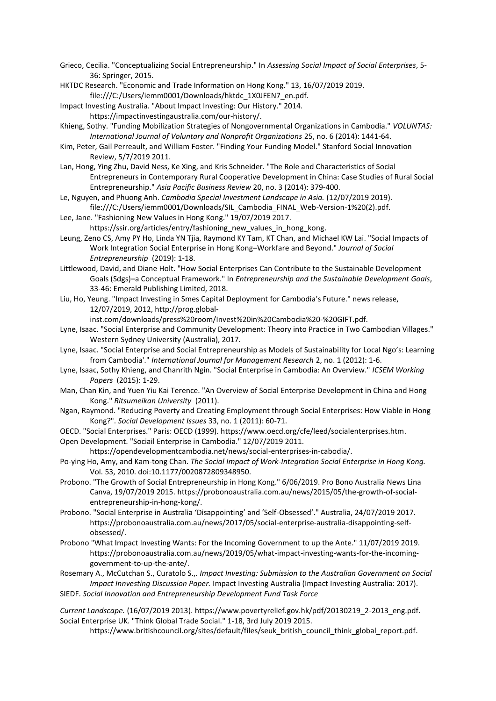Grieco, Cecilia. "Conceptualizing Social Entrepreneurship." In *Assessing Social Impact of Social Enterprises*, 5- 36: Springer, 2015.

HKTDC Research. "Economic and Trade Information on Hong Kong." 13, 16/07/2019 2019.

file:///C:/Users/iemm0001/Downloads/hktdc\_1X0JFEN7\_en.pdf.

Impact Investing Australia. "About Impact Investing: Our History." 2014.

https://impactinvestingaustralia.com/our-history/.

- Khieng, Sothy. "Funding Mobilization Strategies of Nongovernmental Organizations in Cambodia." *VOLUNTAS: International Journal of Voluntary and Nonprofit Organizations* 25, no. 6 (2014): 1441-64.
- Kim, Peter, Gail Perreault, and William Foster. "Finding Your Funding Model." Stanford Social Innovation Review, 5/7/2019 2011.
- Lan, Hong, Ying Zhu, David Ness, Ke Xing, and Kris Schneider. "The Role and Characteristics of Social Entrepreneurs in Contemporary Rural Cooperative Development in China: Case Studies of Rural Social Entrepreneurship." *Asia Pacific Business Review* 20, no. 3 (2014): 379-400.
- Le, Nguyen, and Phuong Anh. *Cambodia Special Investment Landscape in Asia.* (12/07/2019 2019). file:///C:/Users/iemm0001/Downloads/SIL\_Cambodia\_FINAL\_Web-Version-1%20(2).pdf.
- Lee, Jane. "Fashioning New Values in Hong Kong." 19/07/2019 2017. https://ssir.org/articles/entry/fashioning\_new\_values\_in\_hong\_kong.
- Leung, Zeno CS, Amy PY Ho, Linda YN Tjia, Raymond KY Tam, KT Chan, and Michael KW Lai. "Social Impacts of Work Integration Social Enterprise in Hong Kong–Workfare and Beyond." *Journal of Social Entrepreneurship* (2019): 1-18.
- Littlewood, David, and Diane Holt. "How Social Enterprises Can Contribute to the Sustainable Development Goals (Sdgs)–a Conceptual Framework." In *Entrepreneurship and the Sustainable Development Goals*, 33-46: Emerald Publishing Limited, 2018.
- Liu, Ho, Yeung. "Impact Investing in Smes Capital Deployment for Cambodia's Future." news release, 12/07/2019, 2012, http://prog.global-

inst.com/downloads/press%20room/Invest%20in%20Cambodia%20-%20GIFT.pdf.

- Lyne, Isaac. "Social Enterprise and Community Development: Theory into Practice in Two Cambodian Villages." Western Sydney University (Australia), 2017.
- Lyne, Isaac. "Social Enterprise and Social Entrepreneurship as Models of Sustainability for Local Ngo's: Learning from Cambodia'." *International Journal for Management Research* 2, no. 1 (2012): 1-6.
- Lyne, Isaac, Sothy Khieng, and Chanrith Ngin. "Social Enterprise in Cambodia: An Overview." *ICSEM Working Papers* (2015): 1-29.
- Man, Chan Kin, and Yuen Yiu Kai Terence. "An Overview of Social Enterprise Development in China and Hong Kong." *Ritsumeikan University* (2011).
- Ngan, Raymond. "Reducing Poverty and Creating Employment through Social Enterprises: How Viable in Hong Kong?". *Social Development Issues* 33, no. 1 (2011): 60-71.
- OECD. "Social Enterprises." Paris: OECD (1999). https://www.oecd.org/cfe/leed/socialenterprises.htm. Open Development. "Sociail Enterprise in Cambodia." 12/07/2019 2011.
- https://opendevelopmentcambodia.net/news/social-enterprises-in-cabodia/.
- Po-ying Ho, Amy, and Kam-tong Chan. *The Social Impact of Work-Integration Social Enterprise in Hong Kong.* Vol. 53, 2010. doi:10.1177/0020872809348950.
- Probono. "The Growth of Social Entrepreneurship in Hong Kong." 6/06/2019. Pro Bono Australia News Lina Canva, 19/07/2019 2015. https://probonoaustralia.com.au/news/2015/05/the-growth-of-socialentrepreneurship-in-hong-kong/.
- Probono. "Social Enterprise in Australia 'Disappointing' and 'Self-Obsessed'." Australia, 24/07/2019 2017. https://probonoaustralia.com.au/news/2017/05/social-enterprise-australia-disappointing-selfobsessed/.
- Probono "What Impact Investing Wants: For the Incoming Government to up the Ante." 11/07/2019 2019. https://probonoaustralia.com.au/news/2019/05/what-impact-investing-wants-for-the-incominggovernment-to-up-the-ante/.

Rosemary A., McCutchan S., Curatolo S.,. *Impact Investing: Submission to the Australian Government on Social Impact Innvesting Discussion Paper.* Impact Investing Australia (Impact Investing Australia: 2017). SIEDF. *Social Innovation and Entrepreneurship Development Fund Task Force*

*Current Landscape.* (16/07/2019 2013). https://www.povertyrelief.gov.hk/pdf/20130219\_2-2013\_eng.pdf. Social Enterprise UK. "Think Global Trade Social." 1-18, 3rd July 2019 2015.

https://www.britishcouncil.org/sites/default/files/seuk\_british\_council\_think\_global\_report.pdf.